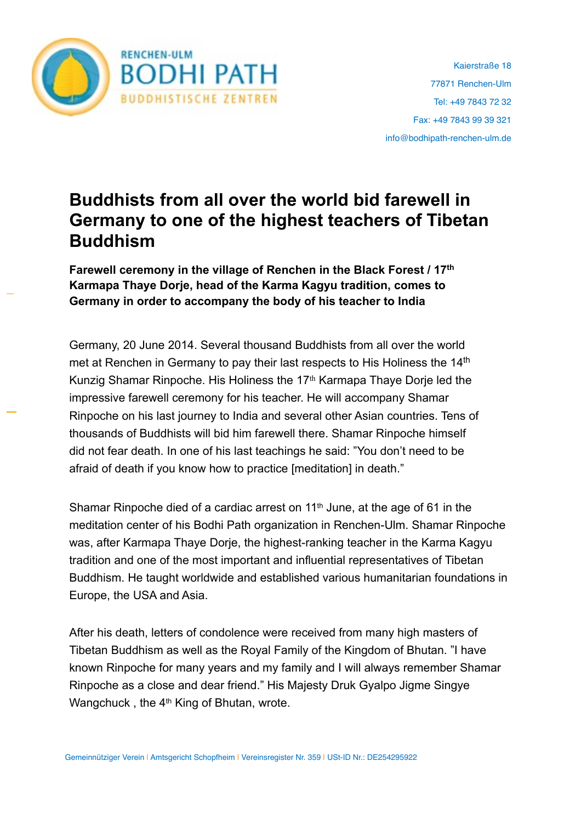

## **Buddhists from all over the world bid farewell in Germany to one of the highest teachers of Tibetan Buddhism**

**Farewell ceremony in the village of Renchen in the Black Forest / 17th Karmapa Thaye Dorje, head of the Karma Kagyu tradition, comes to Germany in order to accompany the body of his teacher to India**

Germany, 20 June 2014. Several thousand Buddhists from all over the world met at Renchen in Germany to pay their last respects to His Holiness the 14<sup>th</sup> Kunzig Shamar Rinpoche. His Holiness the 17<sup>th</sup> Karmapa Thaye Dorje led the impressive farewell ceremony for his teacher. He will accompany Shamar Rinpoche on his last journey to India and several other Asian countries. Tens of thousands of Buddhists will bid him farewell there. Shamar Rinpoche himself did not fear death. In one of his last teachings he said: "You don't need to be afraid of death if you know how to practice [meditation] in death."

Shamar Rinpoche died of a cardiac arrest on  $11<sup>th</sup>$  June, at the age of 61 in the meditation center of his Bodhi Path organization in Renchen-Ulm. Shamar Rinpoche was, after Karmapa Thaye Dorje, the highest-ranking teacher in the Karma Kagyu tradition and one of the most important and influential representatives of Tibetan Buddhism. He taught worldwide and established various humanitarian foundations in Europe, the USA and Asia.

After his death, letters of condolence were received from many high masters of Tibetan Buddhism as well as the Royal Family of the Kingdom of Bhutan. "I have known Rinpoche for many years and my family and I will always remember Shamar Rinpoche as a close and dear friend." His Majesty Druk Gyalpo Jigme Singye Wangchuck, the 4<sup>th</sup> King of Bhutan, wrote.